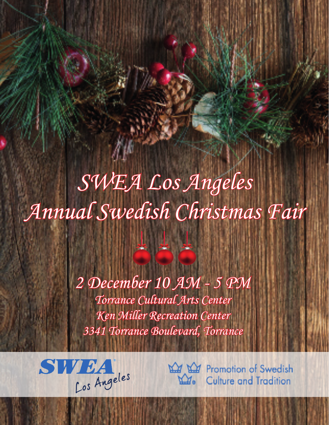*SWEA Los Angeles Annual Swedish Christmas Fair*

> *Torrance Cultural Arts Center Ken Miller Recreation Center 3341 Torrance Boulevard, Torrance 2 December 10 AM - 5 PM*